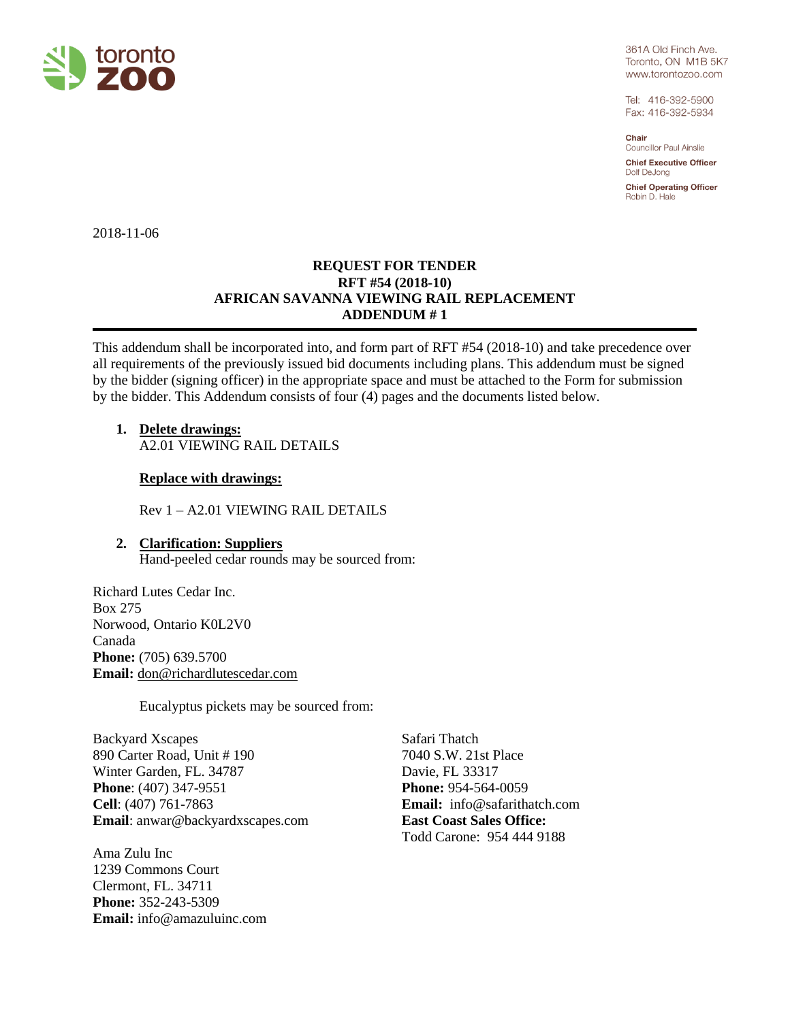

361A Old Finch Ave. Toronto, ON M1B 5K7 www.torontozoo.com

Tel: 416-392-5900 Fax: 416-392-5934

Chair Councillor Paul Ainslie

**Chief Executive Officer** Dolf DeJona

**Chief Operating Officer** Robin D. Hale

2018-11-06

# **REQUEST FOR TENDER RFT #54 (2018-10) AFRICAN SAVANNA VIEWING RAIL REPLACEMENT ADDENDUM # 1**

This addendum shall be incorporated into, and form part of RFT #54 (2018-10) and take precedence over all requirements of the previously issued bid documents including plans. This addendum must be signed by the bidder (signing officer) in the appropriate space and must be attached to the Form for submission by the bidder. This Addendum consists of four (4) pages and the documents listed below.

**1. Delete drawings:** A2.01 VIEWING RAIL DETAILS

# **Replace with drawings:**

Rev 1 – A2.01 VIEWING RAIL DETAILS

# **2. Clarification: Suppliers** Hand-peeled cedar rounds may be sourced from:

Richard Lutes Cedar Inc. Box 275 Norwood, Ontario K0L2V0 Canada **Phone:** (705) 639.5700 **Email:** [don@richardlutescedar.com](mailto:don@richardlutescedar.com)

Eucalyptus pickets may be sourced from:

Backyard Xscapes 890 Carter Road, Unit # 190 Winter Garden, FL. 34787 **Phone**: [\(407\) 347-9551](tel:4073479551) **Cell**: [\(407\) 761-7863](tel:4077617863) **Email**: [anwar@backyardxscapes.com](mailto:%20anwar@backyardxscapes.com)

Ama Zulu Inc 1239 Commons Court Clermont, FL. 34711 **Phone:** 352-243-5309 **Email:** info@amazuluinc.com

Safari Thatch 7040 S.W. 21st Place Davie, FL 33317 **Phone:** 954-564-0059 **Email:** [info@safarithatch.com](mailto:info@safarithatch.com) **East Coast Sales Office:** Todd Carone: 954 444 [9188](tel:%28954%29%20444-9188)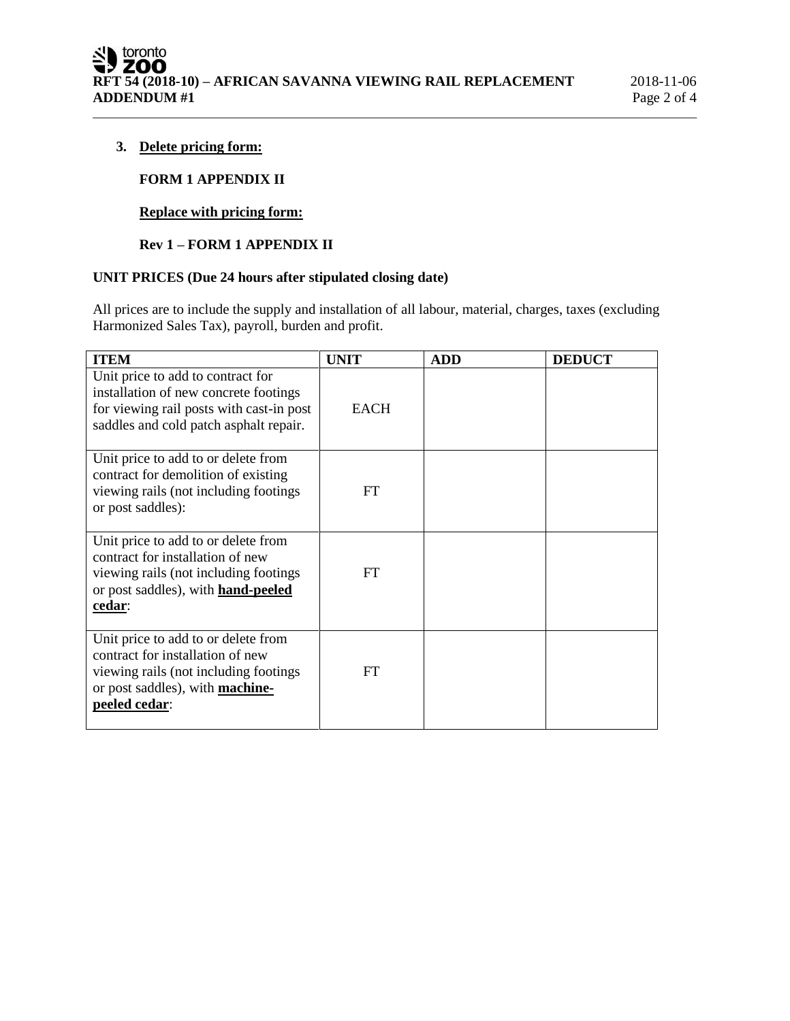## **3. Delete pricing form:**

# **FORM 1 APPENDIX II**

## **Replace with pricing form:**

# **Rev 1 – FORM 1 APPENDIX II**

# **UNIT PRICES (Due 24 hours after stipulated closing date)**

All prices are to include the supply and installation of all labour, material, charges, taxes (excluding Harmonized Sales Tax), payroll, burden and profit.

| <b>ITEM</b>                                                                                                                                                              | <b>UNIT</b> | <b>ADD</b> | <b>DEDUCT</b> |
|--------------------------------------------------------------------------------------------------------------------------------------------------------------------------|-------------|------------|---------------|
| Unit price to add to contract for<br>installation of new concrete footings<br>for viewing rail posts with cast-in post<br>saddles and cold patch asphalt repair.         | <b>EACH</b> |            |               |
| Unit price to add to or delete from<br>contract for demolition of existing<br>viewing rails (not including footings)<br>or post saddles):                                | <b>FT</b>   |            |               |
| Unit price to add to or delete from<br>contract for installation of new<br>viewing rails (not including footings)<br>or post saddles), with <b>hand-peeled</b><br>cedar: | FT.         |            |               |
| Unit price to add to or delete from<br>contract for installation of new<br>viewing rails (not including footings)<br>or post saddles), with machine-<br>peeled cedar:    | <b>FT</b>   |            |               |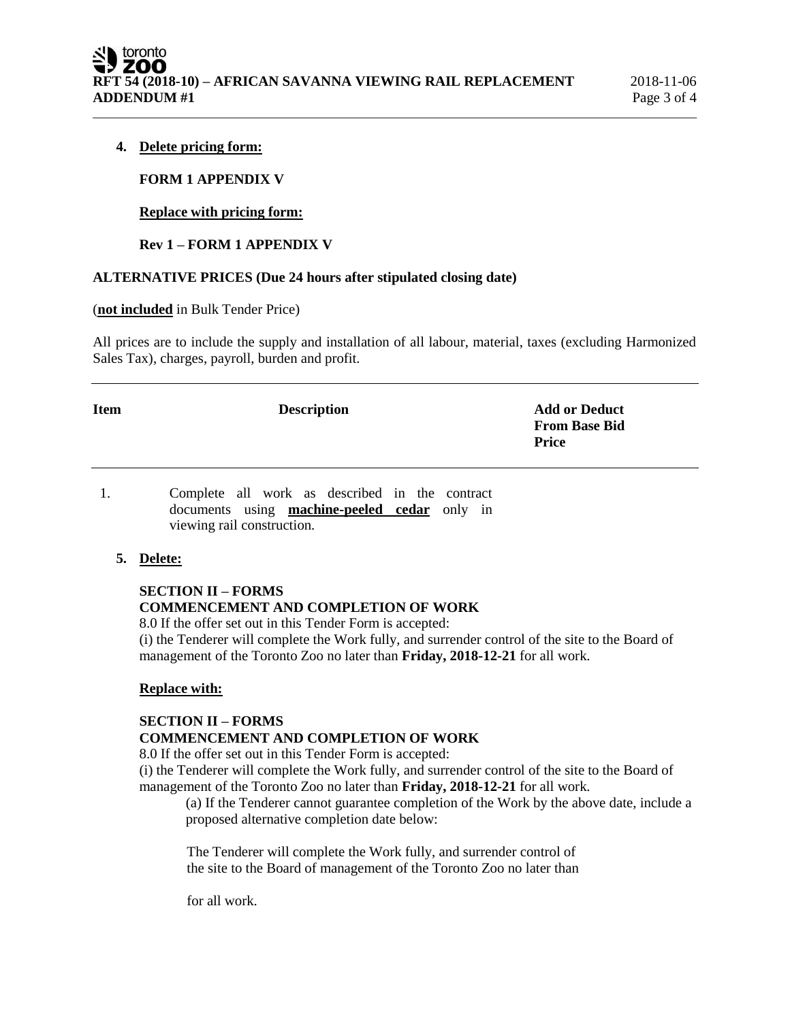### **4. Delete pricing form:**

#### **FORM 1 APPENDIX V**

### **Replace with pricing form:**

### **Rev 1 – FORM 1 APPENDIX V**

### **ALTERNATIVE PRICES (Due 24 hours after stipulated closing date)**

#### (**not included** in Bulk Tender Price)

All prices are to include the supply and installation of all labour, material, taxes (excluding Harmonized Sales Tax), charges, payroll, burden and profit.

| Item | <b>Description</b> | <b>Add or Deduct</b><br><b>From Base Bid</b><br><b>Price</b> |
|------|--------------------|--------------------------------------------------------------|
|      |                    |                                                              |

1. Complete all work as described in the contract documents using **machine-peeled cedar** only in viewing rail construction.

#### **5. Delete:**

## **SECTION II – FORMS COMMENCEMENT AND COMPLETION OF WORK**

8.0 If the offer set out in this Tender Form is accepted:

(i) the Tenderer will complete the Work fully, and surrender control of the site to the Board of management of the Toronto Zoo no later than **Friday, 2018-12-21** for all work.

### **Replace with:**

### **SECTION II – FORMS COMMENCEMENT AND COMPLETION OF WORK**

8.0 If the offer set out in this Tender Form is accepted:

(i) the Tenderer will complete the Work fully, and surrender control of the site to the Board of management of the Toronto Zoo no later than **Friday, 2018-12-21** for all work.

(a) If the Tenderer cannot guarantee completion of the Work by the above date, include a proposed alternative completion date below:

The Tenderer will complete the Work fully, and surrender control of the site to the Board of management of the Toronto Zoo no later than

for all work.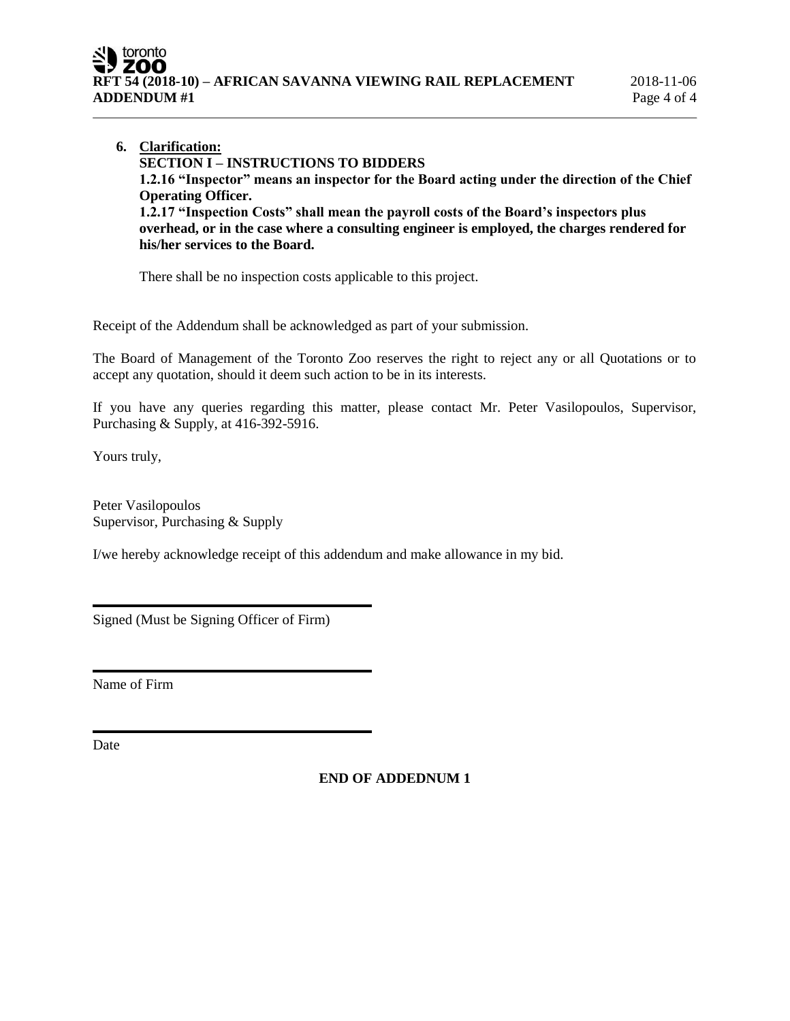**6. Clarification: SECTION I – INSTRUCTIONS TO BIDDERS 1.2.16 "Inspector" means an inspector for the Board acting under the direction of the Chief Operating Officer. 1.2.17 "Inspection Costs" shall mean the payroll costs of the Board's inspectors plus overhead, or in the case where a consulting engineer is employed, the charges rendered for his/her services to the Board.** 

There shall be no inspection costs applicable to this project.

Receipt of the Addendum shall be acknowledged as part of your submission.

The Board of Management of the Toronto Zoo reserves the right to reject any or all Quotations or to accept any quotation, should it deem such action to be in its interests.

If you have any queries regarding this matter, please contact Mr. Peter Vasilopoulos, Supervisor, Purchasing & Supply, at 416-392-5916.

Yours truly,

Peter Vasilopoulos Supervisor, Purchasing & Supply

I/we hereby acknowledge receipt of this addendum and make allowance in my bid.

Signed (Must be Signing Officer of Firm)

Name of Firm

Date

**END OF ADDEDNUM 1**